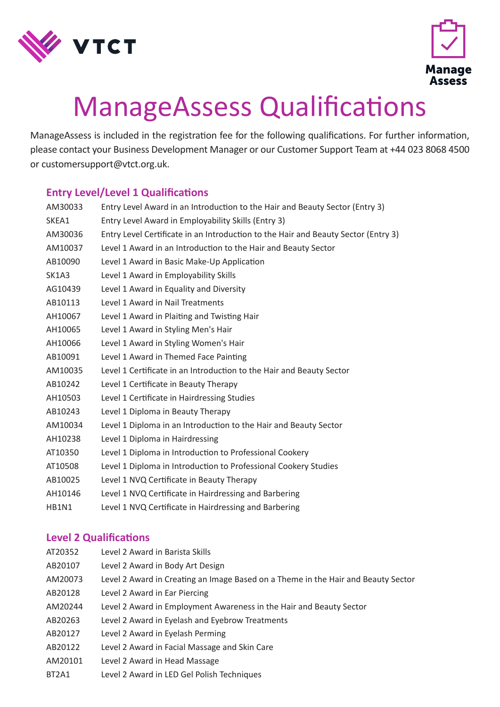



ManageAssess is included in the registration fee for the following qualifications. For further information, please contact your Business Development Manager or our Customer Support Team at +44 023 8068 4500 or customersupport@vtct.org.uk.

### **Entry Level/Level 1 Qualifications**

| AM30033 | Entry Level Award in an Introduction to the Hair and Beauty Sector (Entry 3)       |
|---------|------------------------------------------------------------------------------------|
| SKEA1   | Entry Level Award in Employability Skills (Entry 3)                                |
| AM30036 | Entry Level Certificate in an Introduction to the Hair and Beauty Sector (Entry 3) |
| AM10037 | Level 1 Award in an Introduction to the Hair and Beauty Sector                     |
| AB10090 | Level 1 Award in Basic Make-Up Application                                         |
| SK1A3   | Level 1 Award in Employability Skills                                              |
| AG10439 | Level 1 Award in Equality and Diversity                                            |
| AB10113 | Level 1 Award in Nail Treatments                                                   |
| AH10067 | Level 1 Award in Plaiting and Twisting Hair                                        |
| AH10065 | Level 1 Award in Styling Men's Hair                                                |
| AH10066 | Level 1 Award in Styling Women's Hair                                              |
| AB10091 | Level 1 Award in Themed Face Painting                                              |
| AM10035 | Level 1 Certificate in an Introduction to the Hair and Beauty Sector               |
| AB10242 | Level 1 Certificate in Beauty Therapy                                              |
| AH10503 | Level 1 Certificate in Hairdressing Studies                                        |
| AB10243 | Level 1 Diploma in Beauty Therapy                                                  |
| AM10034 | Level 1 Diploma in an Introduction to the Hair and Beauty Sector                   |
| AH10238 | Level 1 Diploma in Hairdressing                                                    |
| AT10350 | Level 1 Diploma in Introduction to Professional Cookery                            |
| AT10508 | Level 1 Diploma in Introduction to Professional Cookery Studies                    |
| AB10025 | Level 1 NVQ Certificate in Beauty Therapy                                          |
| AH10146 | Level 1 NVQ Certificate in Hairdressing and Barbering                              |
| HB1N1   | Level 1 NVQ Certificate in Hairdressing and Barbering                              |

### **Level 2 Qualifications**

| AT20352                        | Level 2 Award in Barista Skills                                                   |
|--------------------------------|-----------------------------------------------------------------------------------|
| AB20107                        | Level 2 Award in Body Art Design                                                  |
| AM20073                        | Level 2 Award in Creating an Image Based on a Theme in the Hair and Beauty Sector |
| AB20128                        | Level 2 Award in Ear Piercing                                                     |
| AM20244                        | Level 2 Award in Employment Awareness in the Hair and Beauty Sector               |
| AB20263                        | Level 2 Award in Eyelash and Eyebrow Treatments                                   |
| AB20127                        | Level 2 Award in Eyelash Perming                                                  |
| AB20122                        | Level 2 Award in Facial Massage and Skin Care                                     |
| AM20101                        | Level 2 Award in Head Massage                                                     |
| BT <sub>2</sub> A <sub>1</sub> | Level 2 Award in LED Gel Polish Techniques                                        |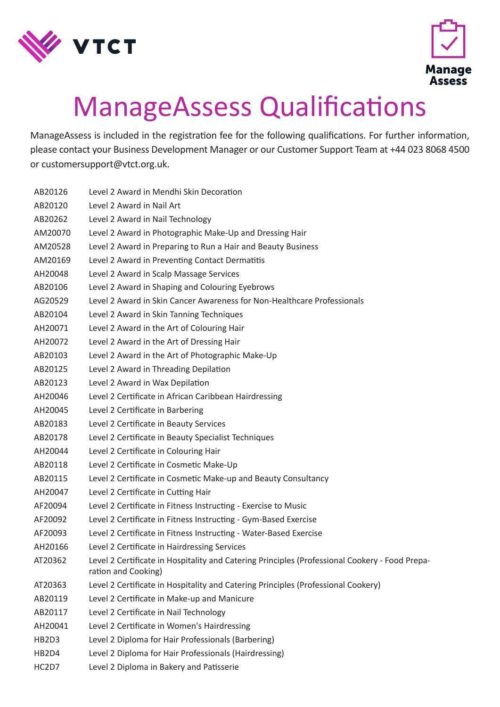



ManageAssess is included in the registration fee for the following qualifications. For further information, please contact your Business Development Manager or our Customer Support Team at +44 023 8068 4500 or customersupport@vtct.org.uk.

| AB20126 | Level 2 Award in Mendhi Skin Decoration                                                                               |
|---------|-----------------------------------------------------------------------------------------------------------------------|
| AB20120 | Level 2 Award in Nail Art                                                                                             |
| AB20262 | Level 2 Award in Nail Technology                                                                                      |
| AM20070 | Level 2 Award in Photographic Make-Up and Dressing Hair                                                               |
| AM20528 | Level 2 Award in Preparing to Run a Hair and Beauty Business                                                          |
| AM20169 | Level 2 Award in Preventing Contact Dermatitis                                                                        |
| AH20048 | Level 2 Award in Scalp Massage Services                                                                               |
| AB20106 | Level 2 Award in Shaping and Colouring Eyebrows                                                                       |
| AG20529 | Level 2 Award in Skin Cancer Awareness for Non-Healthcare Professionals                                               |
| AB20104 | Level 2 Award in Skin Tanning Techniques                                                                              |
| AH20071 | Level 2 Award in the Art of Colouring Hair                                                                            |
| AH20072 | Level 2 Award in the Art of Dressing Hair                                                                             |
| AB20103 | Level 2 Award in the Art of Photographic Make-Up                                                                      |
| AB20125 | Level 2 Award in Threading Depilation                                                                                 |
| AB20123 | Level 2 Award in Wax Depilation                                                                                       |
| AH20046 | Level 2 Certificate in African Caribbean Hairdressing                                                                 |
| AH20045 | Level 2 Certificate in Barbering                                                                                      |
| AB20183 | Level 2 Certificate in Beauty Services                                                                                |
| AB20178 | Level 2 Certificate in Beauty Specialist Techniques                                                                   |
| AH20044 | Level 2 Certificate in Colouring Hair                                                                                 |
| AB20118 | Level 2 Certificate in Cosmetic Make-Up                                                                               |
| AB20115 | Level 2 Certificate in Cosmetic Make-up and Beauty Consultancy                                                        |
| AH20047 | Level 2 Certificate in Cutting Hair                                                                                   |
| AF20094 | Level 2 Certificate in Fitness Instructing - Exercise to Music                                                        |
| AF20092 | Level 2 Certificate in Fitness Instructing - Gym-Based Exercise                                                       |
| AF20093 | Level 2 Certificate in Fitness Instructing - Water-Based Exercise                                                     |
| AH20166 | Level 2 Certificate in Hairdressing Services                                                                          |
| AT20362 | Level 2 Certificate in Hospitality and Catering Principles (Professional Cookery - Food Prepa-<br>ration and Cooking) |
| AT20363 | Level 2 Certificate in Hospitality and Catering Principles (Professional Cookery)                                     |
| AB20119 | Level 2 Certificate in Make-up and Manicure                                                                           |
| AB20117 | Level 2 Certificate in Nail Technology                                                                                |
| AH20041 | Level 2 Certificate in Women's Hairdressing                                                                           |
| HB2D3   | Level 2 Diploma for Hair Professionals (Barbering)                                                                    |
| HB2D4   | Level 2 Diploma for Hair Professionals (Hairdressing)                                                                 |
| HC2D7   | Level 2 Diploma in Bakery and Patisserie                                                                              |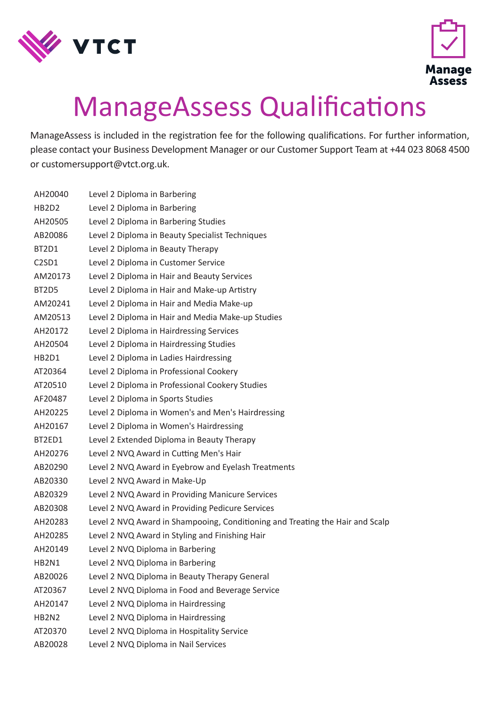



ManageAssess is included in the registration fee for the following qualifications. For further information, please contact your Business Development Manager or our Customer Support Team at +44 023 8068 4500 or customersupport@vtct.org.uk.

| AH20040                        | Level 2 Diploma in Barbering                                                  |
|--------------------------------|-------------------------------------------------------------------------------|
| HB2D2                          | Level 2 Diploma in Barbering                                                  |
| AH20505                        | Level 2 Diploma in Barbering Studies                                          |
| AB20086                        | Level 2 Diploma in Beauty Specialist Techniques                               |
| BT2D1                          | Level 2 Diploma in Beauty Therapy                                             |
| C <sub>2</sub> SD <sub>1</sub> | Level 2 Diploma in Customer Service                                           |
| AM20173                        | Level 2 Diploma in Hair and Beauty Services                                   |
| BT2D5                          | Level 2 Diploma in Hair and Make-up Artistry                                  |
| AM20241                        | Level 2 Diploma in Hair and Media Make-up                                     |
| AM20513                        | Level 2 Diploma in Hair and Media Make-up Studies                             |
| AH20172                        | Level 2 Diploma in Hairdressing Services                                      |
| AH20504                        | Level 2 Diploma in Hairdressing Studies                                       |
| HB2D1                          | Level 2 Diploma in Ladies Hairdressing                                        |
| AT20364                        | Level 2 Diploma in Professional Cookery                                       |
| AT20510                        | Level 2 Diploma in Professional Cookery Studies                               |
| AF20487                        | Level 2 Diploma in Sports Studies                                             |
| AH20225                        | Level 2 Diploma in Women's and Men's Hairdressing                             |
| AH20167                        | Level 2 Diploma in Women's Hairdressing                                       |
| BT2ED1                         | Level 2 Extended Diploma in Beauty Therapy                                    |
| AH20276                        | Level 2 NVQ Award in Cutting Men's Hair                                       |
| AB20290                        | Level 2 NVQ Award in Eyebrow and Eyelash Treatments                           |
| AB20330                        | Level 2 NVQ Award in Make-Up                                                  |
| AB20329                        | Level 2 NVQ Award in Providing Manicure Services                              |
| AB20308                        | Level 2 NVQ Award in Providing Pedicure Services                              |
| AH20283                        | Level 2 NVQ Award in Shampooing, Conditioning and Treating the Hair and Scalp |
| AH20285                        | Level 2 NVQ Award in Styling and Finishing Hair                               |
| AH20149                        | Level 2 NVQ Diploma in Barbering                                              |
| HB2N1                          | Level 2 NVQ Diploma in Barbering                                              |
| AB20026                        | Level 2 NVQ Diploma in Beauty Therapy General                                 |
| AT20367                        | Level 2 NVQ Diploma in Food and Beverage Service                              |
| AH20147                        | Level 2 NVQ Diploma in Hairdressing                                           |
| HB2N2                          | Level 2 NVQ Diploma in Hairdressing                                           |
| AT20370                        | Level 2 NVQ Diploma in Hospitality Service                                    |
| AB20028                        | Level 2 NVQ Diploma in Nail Services                                          |
|                                |                                                                               |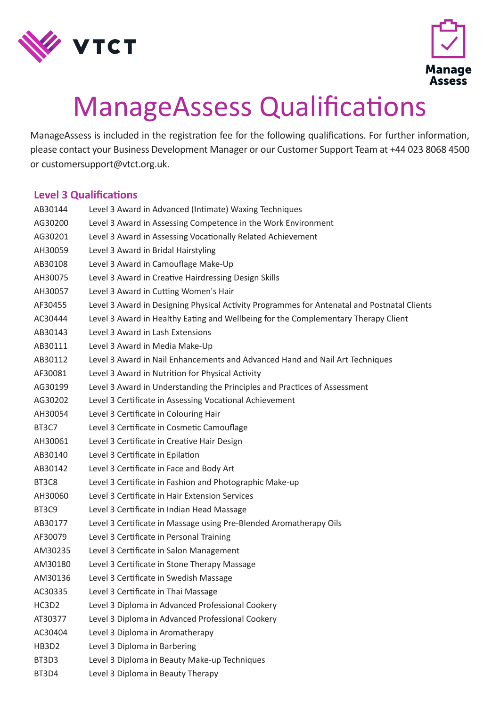



ManageAssess is included in the registration fee for the following qualifications. For further information, please contact your Business Development Manager or our Customer Support Team at +44 023 8068 4500 or customersupport@vtct.org.uk.

#### **Level 3 Qualifications**

| AB30144 | Level 3 Award in Advanced (Intimate) Waxing Techniques                                      |
|---------|---------------------------------------------------------------------------------------------|
| AG30200 | Level 3 Award in Assessing Competence in the Work Environment                               |
| AG30201 | Level 3 Award in Assessing Vocationally Related Achievement                                 |
| AH30059 | Level 3 Award in Bridal Hairstyling                                                         |
| AB30108 | Level 3 Award in Camouflage Make-Up                                                         |
| AH30075 | Level 3 Award in Creative Hairdressing Design Skills                                        |
| AH30057 | Level 3 Award in Cutting Women's Hair                                                       |
| AF30455 | Level 3 Award in Designing Physical Activity Programmes for Antenatal and Postnatal Clients |
| AC30444 | Level 3 Award in Healthy Eating and Wellbeing for the Complementary Therapy Client          |
| AB30143 | Level 3 Award in Lash Extensions                                                            |
| AB30111 | Level 3 Award in Media Make-Up                                                              |
| AB30112 | Level 3 Award in Nail Enhancements and Advanced Hand and Nail Art Techniques                |
| AF30081 | Level 3 Award in Nutrition for Physical Activity                                            |
| AG30199 | Level 3 Award in Understanding the Principles and Practices of Assessment                   |
| AG30202 | Level 3 Certificate in Assessing Vocational Achievement                                     |
| AH30054 | Level 3 Certificate in Colouring Hair                                                       |
| BT3C7   | Level 3 Certificate in Cosmetic Camouflage                                                  |
| AH30061 | Level 3 Certificate in Creative Hair Design                                                 |
| AB30140 | Level 3 Certificate in Epilation                                                            |
| AB30142 | Level 3 Certificate in Face and Body Art                                                    |
| BT3C8   | Level 3 Certificate in Fashion and Photographic Make-up                                     |
| AH30060 | Level 3 Certificate in Hair Extension Services                                              |
| BT3C9   | Level 3 Certificate in Indian Head Massage                                                  |
| AB30177 | Level 3 Certificate in Massage using Pre-Blended Aromatherapy Oils                          |
| AF30079 | Level 3 Certificate in Personal Training                                                    |
| AM30235 | Level 3 Certificate in Salon Management                                                     |
| AM30180 | Level 3 Certificate in Stone Therapy Massage                                                |
| AM30136 | Level 3 Certificate in Swedish Massage                                                      |
| AC30335 | Level 3 Certificate in Thai Massage                                                         |
| HC3D2   | Level 3 Diploma in Advanced Professional Cookery                                            |
| AT30377 | Level 3 Diploma in Advanced Professional Cookery                                            |
| AC30404 | Level 3 Diploma in Aromatherapy                                                             |
| HB3D2   | Level 3 Diploma in Barbering                                                                |
| BT3D3   | Level 3 Diploma in Beauty Make-up Techniques                                                |
| BT3D4   | Level 3 Diploma in Beauty Therapy                                                           |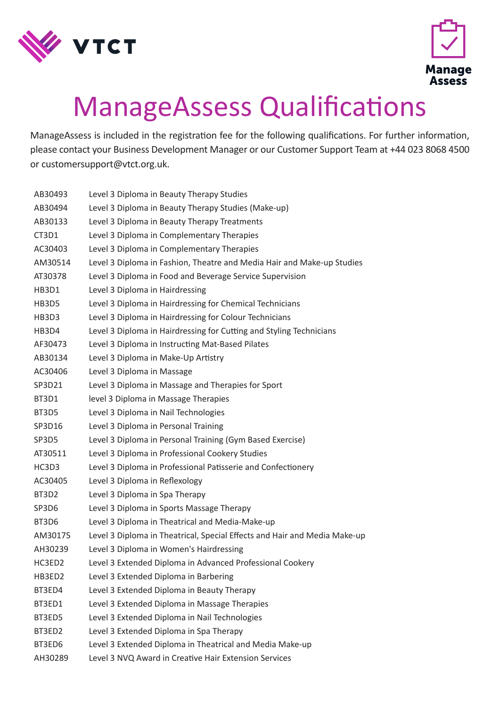



ManageAssess is included in the registration fee for the following qualifications. For further information, please contact your Business Development Manager or our Customer Support Team at +44 023 8068 4500 or customersupport@vtct.org.uk.

| AB30493 | Level 3 Diploma in Beauty Therapy Studies                                 |
|---------|---------------------------------------------------------------------------|
| AB30494 | Level 3 Diploma in Beauty Therapy Studies (Make-up)                       |
| AB30133 | Level 3 Diploma in Beauty Therapy Treatments                              |
| CT3D1   | Level 3 Diploma in Complementary Therapies                                |
| AC30403 | Level 3 Diploma in Complementary Therapies                                |
| AM30514 | Level 3 Diploma in Fashion, Theatre and Media Hair and Make-up Studies    |
| AT30378 | Level 3 Diploma in Food and Beverage Service Supervision                  |
| HB3D1   | Level 3 Diploma in Hairdressing                                           |
| HB3D5   | Level 3 Diploma in Hairdressing for Chemical Technicians                  |
| HB3D3   | Level 3 Diploma in Hairdressing for Colour Technicians                    |
| HB3D4   | Level 3 Diploma in Hairdressing for Cutting and Styling Technicians       |
| AF30473 | Level 3 Diploma in Instructing Mat-Based Pilates                          |
| AB30134 | Level 3 Diploma in Make-Up Artistry                                       |
| AC30406 | Level 3 Diploma in Massage                                                |
| SP3D21  | Level 3 Diploma in Massage and Therapies for Sport                        |
| BT3D1   | level 3 Diploma in Massage Therapies                                      |
| BT3D5   | Level 3 Diploma in Nail Technologies                                      |
| SP3D16  | Level 3 Diploma in Personal Training                                      |
| SP3D5   | Level 3 Diploma in Personal Training (Gym Based Exercise)                 |
| AT30511 | Level 3 Diploma in Professional Cookery Studies                           |
| HC3D3   | Level 3 Diploma in Professional Patisserie and Confectionery              |
| AC30405 | Level 3 Diploma in Reflexology                                            |
| BT3D2   | Level 3 Diploma in Spa Therapy                                            |
| SP3D6   | Level 3 Diploma in Sports Massage Therapy                                 |
| BT3D6   | Level 3 Diploma in Theatrical and Media-Make-up                           |
| AM30175 | Level 3 Diploma in Theatrical, Special Effects and Hair and Media Make-up |
| AH30239 | Level 3 Diploma in Women's Hairdressing                                   |
| HC3ED2  | Level 3 Extended Diploma in Advanced Professional Cookery                 |
| HB3ED2  | Level 3 Extended Diploma in Barbering                                     |
| BT3ED4  | Level 3 Extended Diploma in Beauty Therapy                                |
| BT3ED1  | Level 3 Extended Diploma in Massage Therapies                             |
| BT3ED5  | Level 3 Extended Diploma in Nail Technologies                             |
| BT3ED2  | Level 3 Extended Diploma in Spa Therapy                                   |
| BT3ED6  | Level 3 Extended Diploma in Theatrical and Media Make-up                  |
| AH30289 | Level 3 NVQ Award in Creative Hair Extension Services                     |